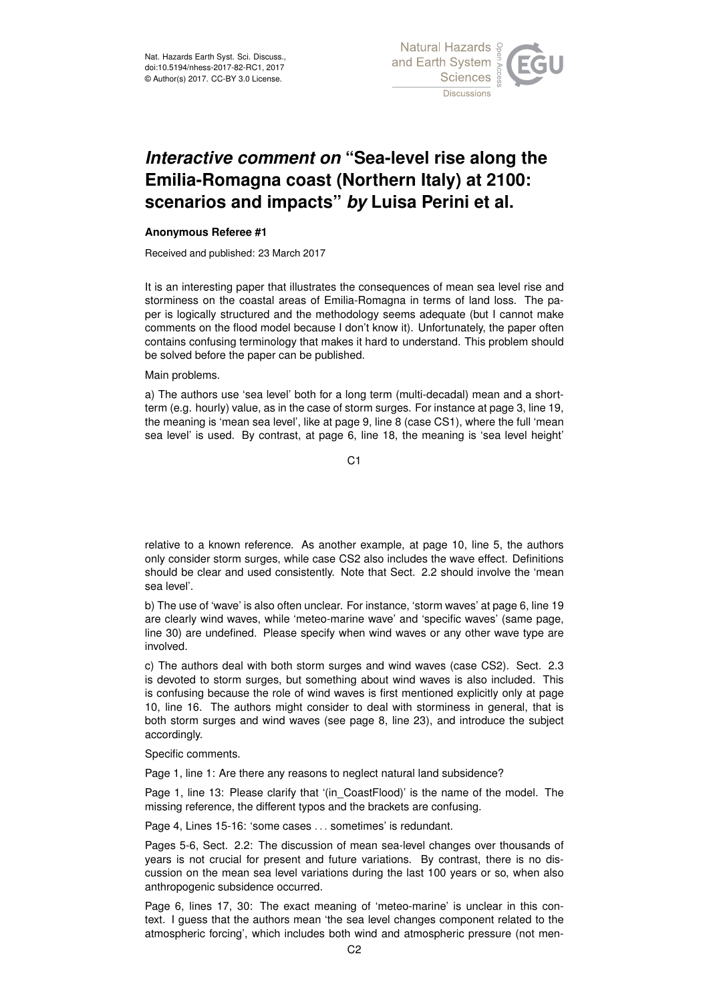

## *Interactive comment on* **"Sea-level rise along the Emilia-Romagna coast (Northern Italy) at 2100: scenarios and impacts"** *by* **Luisa Perini et al.**

## **Anonymous Referee #1**

Received and published: 23 March 2017

It is an interesting paper that illustrates the consequences of mean sea level rise and storminess on the coastal areas of Emilia-Romagna in terms of land loss. The paper is logically structured and the methodology seems adequate (but I cannot make comments on the flood model because I don't know it). Unfortunately, the paper often contains confusing terminology that makes it hard to understand. This problem should be solved before the paper can be published.

## Main problems.

a) The authors use 'sea level' both for a long term (multi-decadal) mean and a shortterm (e.g. hourly) value, as in the case of storm surges. For instance at page 3, line 19, the meaning is 'mean sea level', like at page 9, line 8 (case CS1), where the full 'mean sea level' is used. By contrast, at page 6, line 18, the meaning is 'sea level height'

 $C<sub>1</sub>$ 

relative to a known reference. As another example, at page 10, line 5, the authors only consider storm surges, while case CS2 also includes the wave effect. Definitions should be clear and used consistently. Note that Sect. 2.2 should involve the 'mean sea level'.

b) The use of 'wave' is also often unclear. For instance, 'storm waves' at page 6, line 19 are clearly wind waves, while 'meteo-marine wave' and 'specific waves' (same page, line 30) are undefined. Please specify when wind waves or any other wave type are involved.

c) The authors deal with both storm surges and wind waves (case CS2). Sect. 2.3 is devoted to storm surges, but something about wind waves is also included. This is confusing because the role of wind waves is first mentioned explicitly only at page 10, line 16. The authors might consider to deal with storminess in general, that is both storm surges and wind waves (see page 8, line 23), and introduce the subject accordingly.

Specific comments.

Page 1, line 1: Are there any reasons to neglect natural land subsidence?

Page 1, line 13: Please clarify that '(in CoastFlood)' is the name of the model. The missing reference, the different typos and the brackets are confusing.

Page 4, Lines 15-16: 'some cases . . . sometimes' is redundant.

Pages 5-6, Sect. 2.2: The discussion of mean sea-level changes over thousands of years is not crucial for present and future variations. By contrast, there is no discussion on the mean sea level variations during the last 100 years or so, when also anthropogenic subsidence occurred.

Page 6, lines 17, 30: The exact meaning of 'meteo-marine' is unclear in this context. I guess that the authors mean 'the sea level changes component related to the atmospheric forcing', which includes both wind and atmospheric pressure (not men